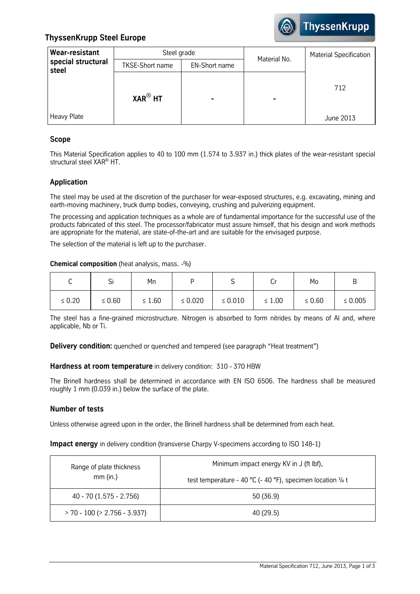

# **ThyssenKrupp Steel Europe**

| Wear-resistant              | Steel grade            |                      | Material No. | <b>Material Specification</b> |
|-----------------------------|------------------------|----------------------|--------------|-------------------------------|
| special structural<br>steel | <b>TKSE-Short name</b> | <b>EN-Short name</b> |              |                               |
|                             | $XAR^@$ HT             |                      |              | 712                           |
| Heavy Plate                 |                        |                      |              | June 2013                     |

## **Scope**

This Material Specification applies to 40 to 100 mm (1.574 to 3.937 in.) thick plates of the wear-resistant special structural steel XAR® HT.

## **Application**

The steel may be used at the discretion of the purchaser for wear-exposed structures, e.g. excavating, mining and earth-moving machinery, truck dump bodies, conveying, crushing and pulverizing equipment.

The processing and application techniques as a whole are of fundamental importance for the successful use of the products fabricated of this steel. The processor/fabricator must assure himself, that his design and work methods are appropriate for the material, are state-of-the-art and are suitable for the envisaged purpose.

The selection of the material is left up to the purchaser.

## **Chemical composition** (heat analysis, mass. -%)

| ີ           | <b>.</b><br>ગ | Mn          |              | ັ            | ◡           | Mo          |              |
|-------------|---------------|-------------|--------------|--------------|-------------|-------------|--------------|
| $\leq 0.20$ | $\leq 0.60$   | $\leq 1.60$ | $\leq 0.020$ | $\leq 0.010$ | $\leq 1.00$ | $\leq 0.60$ | $\leq 0.005$ |

The steel has a fine-grained microstructure. Nitrogen is absorbed to form nitrides by means of Al and, where applicable, Nb or Ti.

**Delivery condition:** quenched or quenched and tempered (see paragraph "Heat treatment")

## **Hardness at room temperature** in delivery condition: 310 - 370 HBW

The Brinell hardness shall be determined in accordance with EN ISO 6506. The hardness shall be measured roughly 1 mm (0.039 in.) below the surface of the plate.

## **Number of tests**

Unless otherwise agreed upon in the order, the Brinell hardness shall be determined from each heat.

**Impact energy** in delivery condition (transverse Charpy V-specimens according to ISO 148-1)

| Range of plate thickness           | Minimum impact energy KV in J (ft lbf),                               |  |
|------------------------------------|-----------------------------------------------------------------------|--|
| $mm$ (in.)                         | test temperature - 40 °C (- 40 °F), specimen location $\frac{1}{4}$ t |  |
| 40 - 70 (1.575 - 2.756)            | 50 (36.9)                                                             |  |
| $> 70 - 100$ ( $> 2.756 - 3.937$ ) | 40 (29.5)                                                             |  |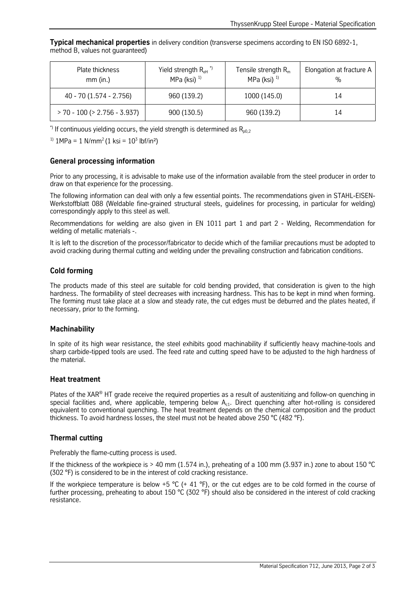**Typical mechanical properties** in delivery condition (transverse specimens according to EN ISO 6892-1, method B, values not guaranteed)

| Plate thickness<br>$mm$ (in.)      | Yield strength $R_{\text{eH}}$ <sup>*</sup><br>MPa (ksi) $1$ | Tensile strength $Rm$<br>MPa (ksi) $1$ | Elongation at fracture A<br>% |
|------------------------------------|--------------------------------------------------------------|----------------------------------------|-------------------------------|
| 40 - 70 (1.574 - 2.756)            | 960 (139.2)                                                  | 1000 (145.0)                           | 14                            |
| $> 70 - 100$ ( $> 2.756 - 3.937$ ) | 900 (130.5)                                                  | 960 (139.2)                            | 14                            |

\*) If continuous yielding occurs, the yield strength is determined as  $R_{n0,2}$ 

<sup>1)</sup>  $1MPa = 1 N/mm^2 (1 ksi = 10^3 lbf/in^2)$ 

#### **General processing information**

Prior to any processing, it is advisable to make use of the information available from the steel producer in order to draw on that experience for the processing.

The following information can deal with only a few essential points. The recommendations given in STAHL-EISEN-Werkstoffblatt 088 (Weldable fine-grained structural steels, guidelines for processing, in particular for welding) correspondingly apply to this steel as well.

Recommendations for welding are also given in EN 1011 part 1 and part 2 - Welding, Recommendation for welding of metallic materials -.

It is left to the discretion of the processor/fabricator to decide which of the familiar precautions must be adopted to avoid cracking during thermal cutting and welding under the prevailing construction and fabrication conditions.

## **Cold forming**

The products made of this steel are suitable for cold bending provided, that consideration is given to the high hardness. The formability of steel decreases with increasing hardness. This has to be kept in mind when forming. The forming must take place at a slow and steady rate, the cut edges must be deburred and the plates heated, if necessary, prior to the forming.

#### **Machinability**

In spite of its high wear resistance, the steel exhibits good machinability if sufficiently heavy machine-tools and sharp carbide-tipped tools are used. The feed rate and cutting speed have to be adjusted to the high hardness of the material.

#### **Heat treatment**

Plates of the XAR® HT grade receive the required properties as a result of austenitizing and follow-on quenching in special facilities and, where applicable, tempering below  $A_{c1}$ . Direct quenching after hot-rolling is considered equivalent to conventional quenching. The heat treatment depends on the chemical composition and the product thickness. To avoid hardness losses, the steel must not be heated above 250 °C (482 °F).

## **Thermal cutting**

Preferably the flame-cutting process is used.

If the thickness of the workpiece is > 40 mm (1.574 in.), preheating of a 100 mm (3.937 in.) zone to about 150 °C (302 °F) is considered to be in the interest of cold cracking resistance.

If the workpiece temperature is below +5  $^{\circ}$ C (+ 41  $^{\circ}$ F), or the cut edges are to be cold formed in the course of further processing, preheating to about 150 °C (302 °F) should also be considered in the interest of cold cracking resistance.